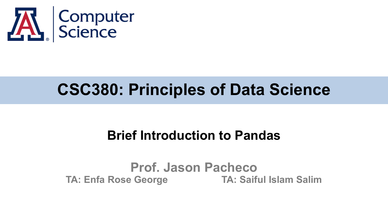

# **CSC380: Principles of Data Science**

### **Brief Introduction to Pandas**

#### **Prof. Jason Pacheco TA: Enfa Rose George TA: Saiful Islam Salim**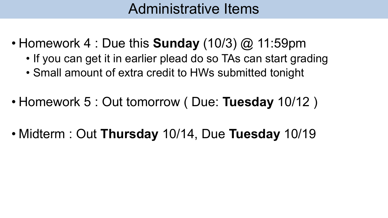## Administrative Items

- Homework 4 : Due this **Sunday** (10/3) @ 11:59pm
	- If you can get it in earlier plead do so TAs can start grading
	- Small amount of extra credit to HWs submitted tonight
- Homework 5 : Out tomorrow ( Due: **Tuesday** 10/12 )
- Midterm : Out **Thursday** 10/14, Due **Tuesday** 10/19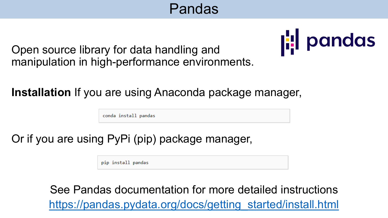## Pandas



Open source library for data handling and manipulation in high-performance environments.

**Installation** If you are using Anaconda package manager,

conda install pandas

Or if you are using PyPi (pip) package manager,

pip install pandas

See Pandas documentation for more detailed instructions [https://pandas.pydata.org/docs/getting\\_started/install.html](https://pandas.pydata.org/docs/getting_started/install.html)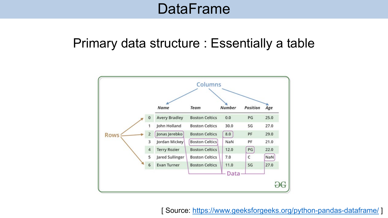### **DataFrame**

### Primary data structure : Essentially a table



[ Source:<https://www.geeksforgeeks.org/python-pandas-dataframe/> ]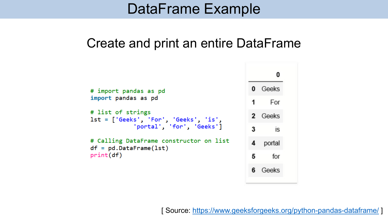### DataFrame Example

#### Create and print an entire DataFrame

```
0
                                              0 Geeks
# import pandas as pd
import pandas as pd
                                                   For
                                              1
# list of strings
                                                 Geeks
lst = ['Geeks', 'For', 'Geeks', 'is','portal', 'for', 'Geeks']
                                              3
                                                     is
# Calling DataFrame constructor on list
                                              4
                                                 portal
df = pd.DataFrame(1st)print(df)5
                                                    for
                                              6 Geeks
```
[ Source:<https://www.geeksforgeeks.org/python-pandas-dataframe/> ]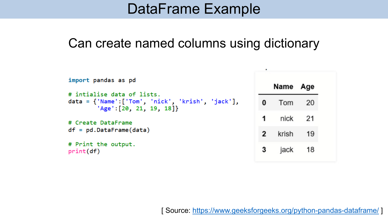### DataFrame Example

#### Can create named columns using dictionary

| import pandas as pd                                                                                          |                | Name Age |    |
|--------------------------------------------------------------------------------------------------------------|----------------|----------|----|
| # intialise data of lists.<br>$data = {'Name':['Tom', 'nick', 'krish', 'jack']},$<br>'Age': [20, 21, 19, 18] | 0              | Tom 20   |    |
| # Create DataFrame<br>$df = pd.DataFrame(data)$                                                              |                | nick 21  |    |
|                                                                                                              | $\overline{2}$ | krish    | 19 |
| # Print the output.<br>print(df)                                                                             |                | jack     | 18 |

[ Source:<https://www.geeksforgeeks.org/python-pandas-dataframe/> ]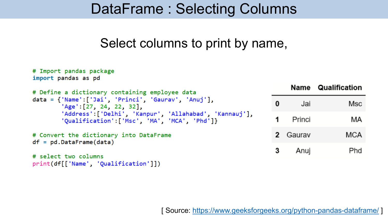### DataFrame : Selecting Columns

### Select columns to print by name,

```
# Import pandas package
import pandas as pd
                                                                           Name Qualification
# Define a dictionary containing employee data
data = \{ 'Name': | 'Jai', 'Princi', 'Gaurav', 'Anuj' \},\bf{0}Jai
                                                                                           Msc
        'Age': [27, 24, 22, 32],'Address':['Delhi', 'Kanpur', 'Allahabad', 'Kannauj'],
                                                                      1
                                                                           Princi
                                                                                            МA
        'Oualification': | 'Msc', 'MA', 'MCA', 'Phd']}
                                                                      2 Gaurav
                                                                                           MCA
# Convert the dictionary into DataFrame
df = pd.DataFrame(data)3
                                                                                            Phd
                                                                            Anuj
# select two columns
print(df[['Name', 'Qualification']])
```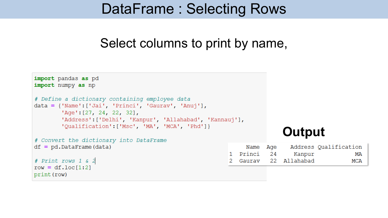### DataFrame : Selecting Rows

#### Select columns to print by name,

```
import pandas as pd
import numpy as np
# Define a dictionary containing employee data
data = {'Name': ['Jai', 'Princi', 'Gaurav', 'Anuj'],
        'Age': [27, 24, 22, 32],'Address':['Delhi', 'Kanpur', 'Allahabad', 'Kannauj'],
        'Qualification':['Msc', 'MA', 'MCA', 'Phd']}
                                                                       Output# Convert the dictionary into DataFrame
df = pd.DataFrameAddress Qualification
                                                             Name
                                                                  Aqe
                                                        1 Princi
                                                                   24
                                                                          Kanpur
                                                                                            MA
# Print rows 1 & 2
                                                                   22 Allahabad
                                                          Gaurav
                                                                                           MCA
row = df.loc[1:2]print (row)
```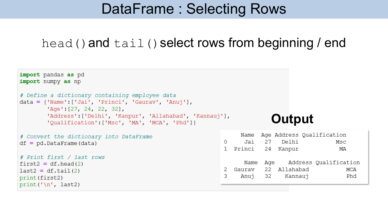### DataFrame : Selecting Rows

#### $head()$  and  $tail()$  select rows from beginning / end

Delhi

Kannauj

Msc

МA

**MCA** 

Phd

```
import pandas as pd
import numpy as np
# Define a dictionary containing employee data
data = {'Name': ['Jai', 'Princi', 'Gaurav', 'Anuj']},'Age': [27, 24, 22, 32],'Address':['Delhi', 'Kanpur', 'Allahabad', 'Kannauj'],
                                                                        Output'Qualification':['Msc', 'MA', 'MCA', 'Phd']}
                                                                     Age Address Qualification
                                                                Name
# Convert the dictionary into DataFrame
                                                                Jai 27
                                                           \Omegadf = pd.DataFrame(data)1 Princi
                                                                      24 Kanpur
# Print first / last rows
                                                                Name Age Address Qualification
first2 = df.read(2)2
                                                             Gaurav
                                                                      22 Allahabad
last2 = df.tail(2)32
                                                           3
                                                                Anuj
print (first2)
print('\\n', last2)
```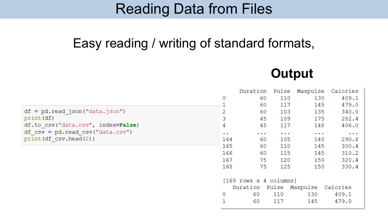### Reading Data from Files

### Easy reading / writing of standard formats,



|                                                    |                        | Duration             | Pulse                | Maxpulse       | Calories |  |
|----------------------------------------------------|------------------------|----------------------|----------------------|----------------|----------|--|
|                                                    | 0                      |                      | 60<br>110            | 130            | 409.1    |  |
|                                                    |                        |                      | 60<br>117            | 145            | 479.0    |  |
| $df = pd.read json("data.json")$                   | 2                      |                      | 60<br>103            | 135            | 340.0    |  |
| print (df)                                         | 3                      |                      | 45<br>109            | 175            | 282.4    |  |
| df.to csv("data.csv", index=False)                 | 4                      |                      | 45<br>117            | 148            | 406.0    |  |
| $df \text{ csv} = pd.read \text{ csv}("data.csv")$ | $\bullet$ . $\bullet$  | $\sim$ $\sim$ $\sim$ | $\sim$ $\sim$ $\sim$ | $\cdots$       | $\cdots$ |  |
| print (df csv.head(2))                             | 164                    |                      | 105<br>60            | 140            | 290.8    |  |
|                                                    | 165                    |                      | 110<br>60            | 145            | 300.4    |  |
|                                                    | 166                    |                      | 115<br>60            | 145            | 310.2    |  |
|                                                    | 167                    |                      | 75<br>120            | 150            | 320.4    |  |
|                                                    | 168                    |                      | 75<br>125            | 150            | 330.4    |  |
|                                                    |                        |                      |                      |                |          |  |
|                                                    | [169 rows x 4 columns] |                      |                      |                |          |  |
|                                                    |                        | Duration             |                      | Pulse Maxpulse | Calories |  |
|                                                    | 0                      | 60                   | 110                  | 130            | 409.1    |  |
|                                                    |                        | 60                   | 117                  | 145            | 479.0    |  |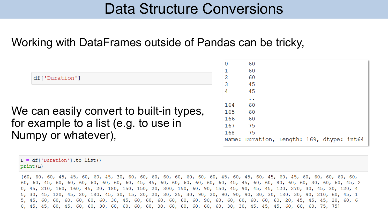### Data Structure Conversions

#### Working with DataFrames outside of Pandas can be tricky,

| 0   | 60        |                      |  |                                           |
|-----|-----------|----------------------|--|-------------------------------------------|
|     |           |                      |  |                                           |
|     |           |                      |  |                                           |
|     |           |                      |  |                                           |
|     |           |                      |  |                                           |
|     | $\bullet$ |                      |  |                                           |
| 164 | 60        |                      |  |                                           |
| 165 | 60        |                      |  |                                           |
| 166 | 60        |                      |  |                                           |
| 167 | 75        |                      |  |                                           |
| 168 | 75        |                      |  |                                           |
|     |           |                      |  |                                           |
|     |           | 60<br>60<br>45<br>45 |  | Name: Duration, Length: 169, dtype: int64 |

| $L = df['Duration'].to list()$ |  |
|--------------------------------|--|
| print(L)                       |  |

[60, 60, 60, 45, 45, 60, 60, 45, 30, 60, 60, 60, 60, 60, 60, 60, 60, 45, 60, 45, 60, 45, 60, 45, 60, 60, 60, 60, 60, 60, 60, 45, 60, 60, 60, 60, 60, 60, 60, 45, 45, 60, 60, 60, 60, 60, 60, 45, 45, 60, 60, 80, 60, 60, 30, 60, 60, 45, 2 0, 45, 210, 160, 160, 45, 20, 180, 150, 150, 20, 300, 150, 60, 90, 150, 45, 90, 45, 45, 120, 270, 30, 45, 30, 120, 4 5, 30, 45, 120, 45, 20, 180, 45, 30, 15, 20, 20, 30, 25, 30, 90, 20, 90, 90, 90, 30, 30, 180, 30, 90, 210, 60, 45, 1 5, 45, 60, 60, 60, 60, 60, 60, 30, 45, 60, 60, 60, 60, 60, 60, 90, 60, 60, 60, 60, 60, 60, 20, 45, 45, 45, 20, 60, 6 0, 45, 45, 60, 45, 60, 60, 30, 60, 60, 60, 60, 30, 60, 60, 60, 60, 60, 30, 30, 45, 45, 45, 60, 60, 60, 75, 75]